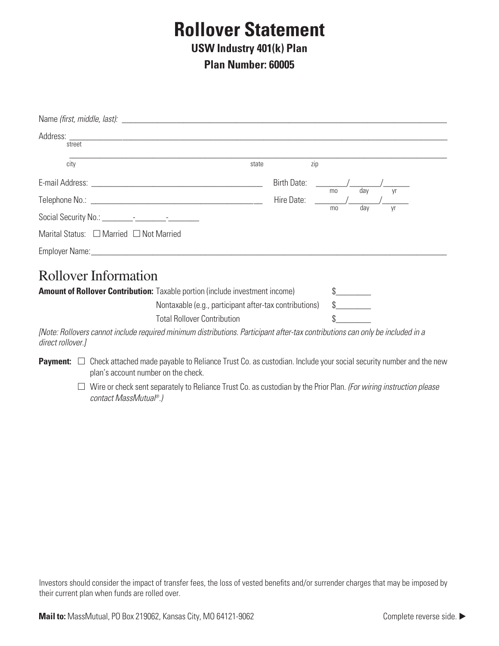# **Rollover Statement**

#### **USW Industry 401(k) Plan**

**Plan Number: 60005**

| street                                                                                                                                                                                                                               |       |                                                                                                      |     |    |     |    |  |
|--------------------------------------------------------------------------------------------------------------------------------------------------------------------------------------------------------------------------------------|-------|------------------------------------------------------------------------------------------------------|-----|----|-----|----|--|
| city                                                                                                                                                                                                                                 | state |                                                                                                      | zip |    |     |    |  |
| E-mail Address: <u>Andreas Address and Address and Address and Address and Address and Address and Address and Address and Address and Address and Address and Address and Address and Address and Address and Address and Addre</u> |       | Birth Date:                                                                                          |     |    | dav |    |  |
|                                                                                                                                                                                                                                      |       | Hire Date: The Mate State State State State State State State State State State State State State St |     | mo | dav | yr |  |
|                                                                                                                                                                                                                                      |       |                                                                                                      |     | mo |     | Vr |  |
| Marital Status: $\Box$ Married $\Box$ Not Married                                                                                                                                                                                    |       |                                                                                                      |     |    |     |    |  |
| Employer Name: 1988 and 2008 and 2008 and 2010 and 2010 and 2010 and 2010 and 2010 and 2010 and 2010 and 2010                                                                                                                        |       |                                                                                                      |     |    |     |    |  |
| $D_{\alpha}11_{\alpha}$                                                                                                                                                                                                              |       |                                                                                                      |     |    |     |    |  |

### Rollover Information

| <b>Amount of Rollover Contribution:</b> Taxable portion (include investment income) |  |
|-------------------------------------------------------------------------------------|--|
| Nontaxable (e.g., participant after-tax contributions)                              |  |
| <b>Total Rollover Contribution</b>                                                  |  |

[Note: Rollovers cannot include required minimum distributions. Participant after-tax contributions can only be included in a direct rollover.]

- **Payment:** □ Check attached made payable to Reliance Trust Co. as custodian. Include your social security number and the new plan's account number on the check.
	- □ Wire or check sent separately to Reliance Trust Co. as custodian by the Prior Plan. (For wiring instruction please contact MassMutual®.)

Investors should consider the impact of transfer fees, the loss of vested benefits and/or surrender charges that may be imposed by their current plan when funds are rolled over.